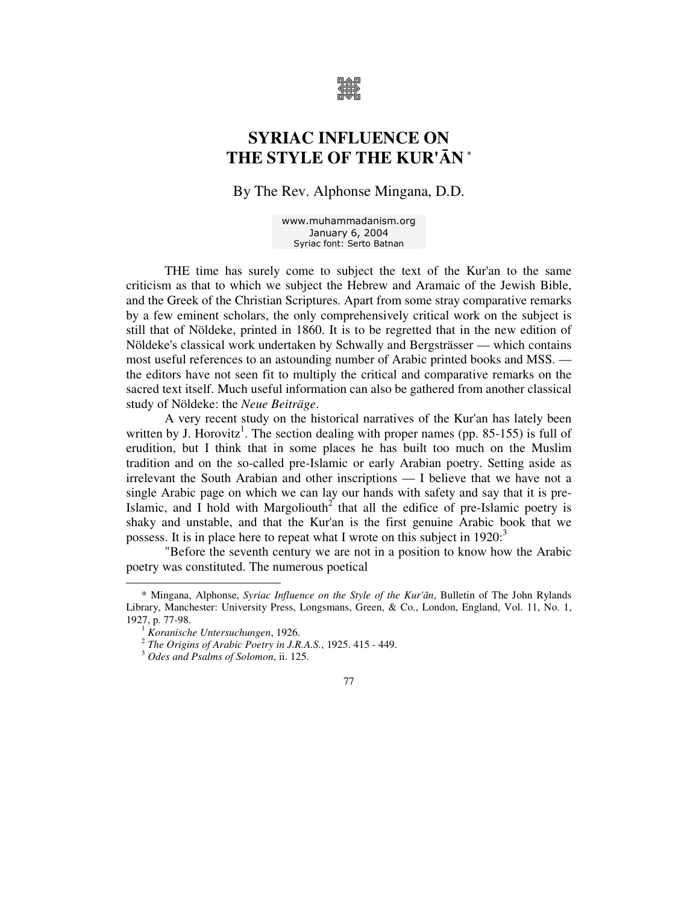

# **SYRIAC INFLUENCE ON THE STYLE OF THE KUR'**Ā**N \***

By The Rev. Alphonse Mingana, D.D.

www.muhammadanism.org January 6, 2004 Syriac font: Serto Batnan

THE time has surely come to subject the text of the Kur'an to the same criticism as that to which we subject the Hebrew and Aramaic of the Jewish Bible, and the Greek of the Christian Scriptures. Apart from some stray comparative remarks by a few eminent scholars, the only comprehensively critical work on the subject is still that of Nöldeke, printed in 1860. It is to be regretted that in the new edition of Nöldeke's classical work undertaken by Schwally and Bergsträsser — which contains most useful references to an astounding number of Arabic printed books and MSS. the editors have not seen fit to multiply the critical and comparative remarks on the sacred text itself. Much useful information can also be gathered from another classical study of Nöldeke: the *Neue Beiträge*.

A very recent study on the historical narratives of the Kur'an has lately been written by J. Horovitz<sup>1</sup>. The section dealing with proper names (pp. 85-155) is full of erudition, but I think that in some places he has built too much on the Muslim tradition and on the so-called pre-Islamic or early Arabian poetry. Setting aside as irrelevant the South Arabian and other inscriptions — I believe that we have not a single Arabic page on which we can lay our hands with safety and say that it is pre-Islamic, and  $\overline{I}$  hold with Margoliouth<sup>2</sup> that all the edifice of pre-Islamic poetry is shaky and unstable, and that the Kur'an is the first genuine Arabic book that we possess. It is in place here to repeat what I wrote on this subject in  $1920$ :<sup>3</sup>

"Before the seventh century we are not in a position to know how the Arabic poetry was constituted. The numerous poetical

<sup>\*</sup> Mingana, Alphonse, *Syriac Influence on the Style of the Kur'*ā*n*, Bulletin of The John Rylands Library, Manchester: University Press, Longsmans, Green, & Co., London, England, Vol. 11, No. 1, 1927, p. 77-98.

<sup>1</sup> *Koranische Untersuchungen*, 1926.

<sup>2</sup> *The Origins of Arabic Poetry in J.R.A.S.*, 1925. 415 - 449.

<sup>3</sup> *Odes and Psalms of Solomon*, ii. 125.

<sup>77</sup>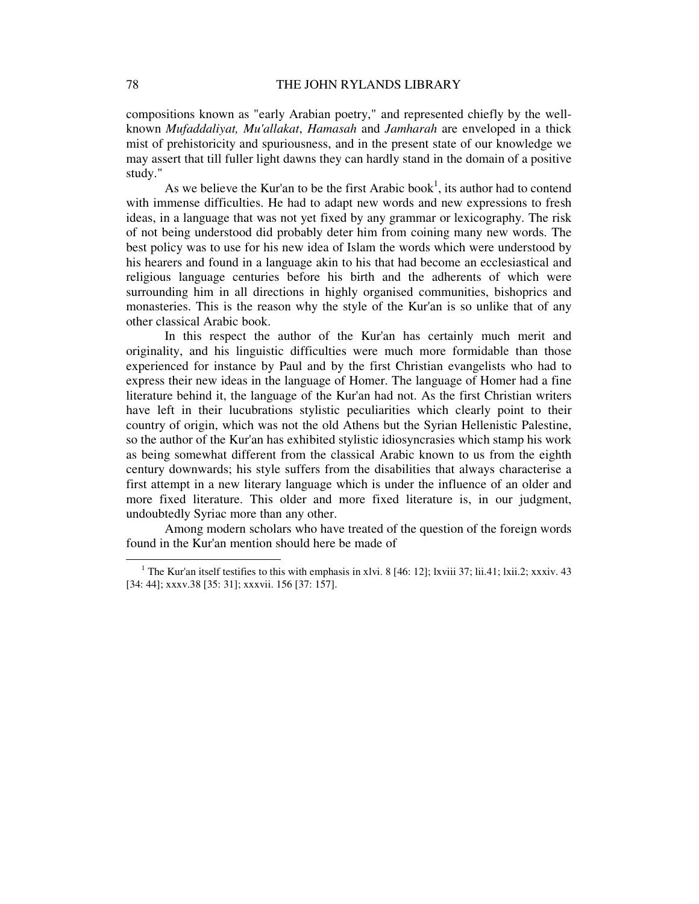compositions known as "early Arabian poetry," and represented chiefly by the wellknown *Mufaddaliyat, Mu'allakat*, *Hamasah* and *Jamharah* are enveloped in a thick mist of prehistoricity and spuriousness, and in the present state of our knowledge we may assert that till fuller light dawns they can hardly stand in the domain of a positive study."

As we believe the Kur'an to be the first Arabic book<sup>1</sup>, its author had to contend with immense difficulties. He had to adapt new words and new expressions to fresh ideas, in a language that was not yet fixed by any grammar or lexicography. The risk of not being understood did probably deter him from coining many new words. The best policy was to use for his new idea of Islam the words which were understood by his hearers and found in a language akin to his that had become an ecclesiastical and religious language centuries before his birth and the adherents of which were surrounding him in all directions in highly organised communities, bishoprics and monasteries. This is the reason why the style of the Kur'an is so unlike that of any other classical Arabic book.

In this respect the author of the Kur'an has certainly much merit and originality, and his linguistic difficulties were much more formidable than those experienced for instance by Paul and by the first Christian evangelists who had to express their new ideas in the language of Homer. The language of Homer had a fine literature behind it, the language of the Kur'an had not. As the first Christian writers have left in their lucubrations stylistic peculiarities which clearly point to their country of origin, which was not the old Athens but the Syrian Hellenistic Palestine, so the author of the Kur'an has exhibited stylistic idiosyncrasies which stamp his work as being somewhat different from the classical Arabic known to us from the eighth century downwards; his style suffers from the disabilities that always characterise a first attempt in a new literary language which is under the influence of an older and more fixed literature. This older and more fixed literature is, in our judgment, undoubtedly Syriac more than any other.

Among modern scholars who have treated of the question of the foreign words found in the Kur'an mention should here be made of

<sup>&</sup>lt;sup>1</sup> The Kur'an itself testifies to this with emphasis in xlvi. 8 [46: 12]; lxviii 37; lii.41; lxii.2; xxxiv. 43 [34: 44]; xxxv.38 [35: 31]; xxxvii. 156 [37: 157].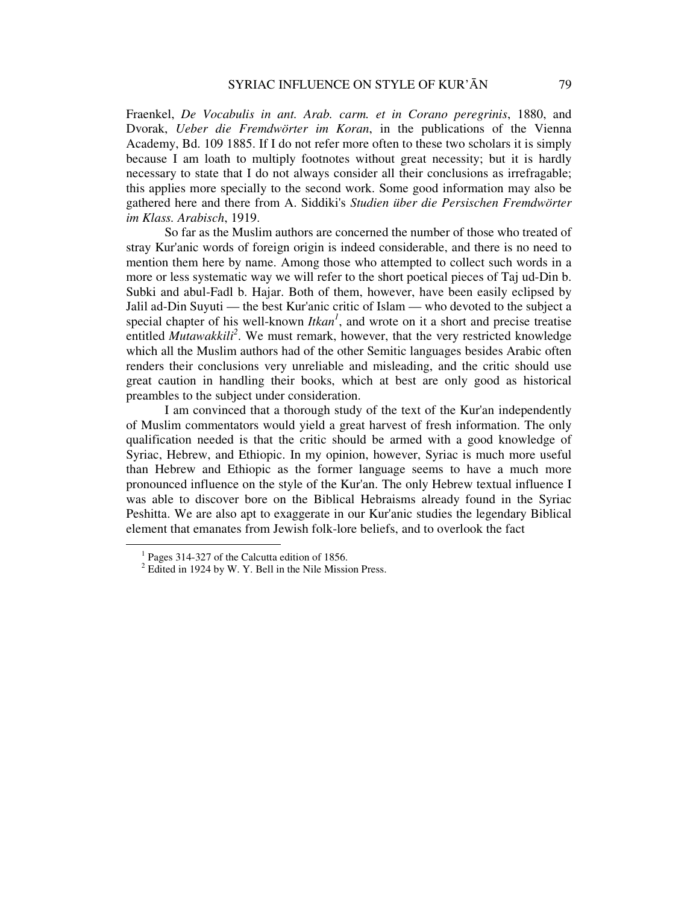Fraenkel, *De Vocabulis in ant. Arab. carm. et in Corano peregrinis*, 1880, and Dvorak, *Ueber die Fremdwörter im Koran*, in the publications of the Vienna Academy, Bd. 109 1885. If I do not refer more often to these two scholars it is simply because I am loath to multiply footnotes without great necessity; but it is hardly necessary to state that I do not always consider all their conclusions as irrefragable; this applies more specially to the second work. Some good information may also be gathered here and there from A. Siddiki's *Studien über die Persischen Fremdwörter im Klass. Arabisch*, 1919.

So far as the Muslim authors are concerned the number of those who treated of stray Kur'anic words of foreign origin is indeed considerable, and there is no need to mention them here by name. Among those who attempted to collect such words in a more or less systematic way we will refer to the short poetical pieces of Taj ud-Din b. Subki and abul-Fadl b. Hajar. Both of them, however, have been easily eclipsed by Jalil ad-Din Suyuti — the best Kur'anic critic of Islam — who devoted to the subject a special chapter of his well-known  $I$ tkan<sup> $1$ </sup>, and wrote on it a short and precise treatise entitled *Mutawakkili*<sup>2</sup>. We must remark, however, that the very restricted knowledge which all the Muslim authors had of the other Semitic languages besides Arabic often renders their conclusions very unreliable and misleading, and the critic should use great caution in handling their books, which at best are only good as historical preambles to the subject under consideration.

I am convinced that a thorough study of the text of the Kur'an independently of Muslim commentators would yield a great harvest of fresh information. The only qualification needed is that the critic should be armed with a good knowledge of Syriac, Hebrew, and Ethiopic. In my opinion, however, Syriac is much more useful than Hebrew and Ethiopic as the former language seems to have a much more pronounced influence on the style of the Kur'an. The only Hebrew textual influence I was able to discover bore on the Biblical Hebraisms already found in the Syriac Peshitta. We are also apt to exaggerate in our Kur'anic studies the legendary Biblical element that emanates from Jewish folk-lore beliefs, and to overlook the fact

<sup>&</sup>lt;sup>1</sup> Pages 314-327 of the Calcutta edition of 1856.

 $2^2$  Edited in 1924 by W. Y. Bell in the Nile Mission Press.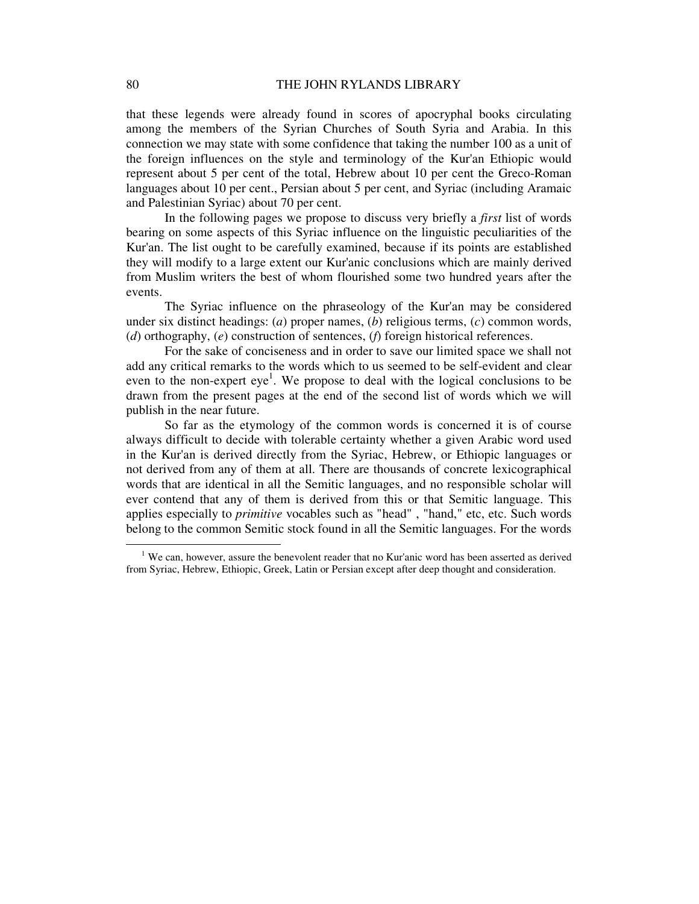that these legends were already found in scores of apocryphal books circulating among the members of the Syrian Churches of South Syria and Arabia. In this connection we may state with some confidence that taking the number 100 as a unit of the foreign influences on the style and terminology of the Kur'an Ethiopic would represent about 5 per cent of the total, Hebrew about 10 per cent the Greco-Roman languages about 10 per cent., Persian about 5 per cent, and Syriac (including Aramaic and Palestinian Syriac) about 70 per cent.

In the following pages we propose to discuss very briefly a *first* list of words bearing on some aspects of this Syriac influence on the linguistic peculiarities of the Kur'an. The list ought to be carefully examined, because if its points are established they will modify to a large extent our Kur'anic conclusions which are mainly derived from Muslim writers the best of whom flourished some two hundred years after the events.

The Syriac influence on the phraseology of the Kur'an may be considered under six distinct headings: (*a*) proper names, (*b*) religious terms, (*c*) common words, (*d*) orthography, (*e*) construction of sentences, (*f*) foreign historical references.

For the sake of conciseness and in order to save our limited space we shall not add any critical remarks to the words which to us seemed to be self-evident and clear even to the non-expert  $eye^1$ . We propose to deal with the logical conclusions to be drawn from the present pages at the end of the second list of words which we will publish in the near future.

So far as the etymology of the common words is concerned it is of course always difficult to decide with tolerable certainty whether a given Arabic word used in the Kur'an is derived directly from the Syriac, Hebrew, or Ethiopic languages or not derived from any of them at all. There are thousands of concrete lexicographical words that are identical in all the Semitic languages, and no responsible scholar will ever contend that any of them is derived from this or that Semitic language. This applies especially to *primitive* vocables such as "head" , "hand," etc, etc. Such words belong to the common Semitic stock found in all the Semitic languages. For the words

 $1$  We can, however, assure the benevolent reader that no Kur'anic word has been asserted as derived from Syriac, Hebrew, Ethiopic, Greek, Latin or Persian except after deep thought and consideration.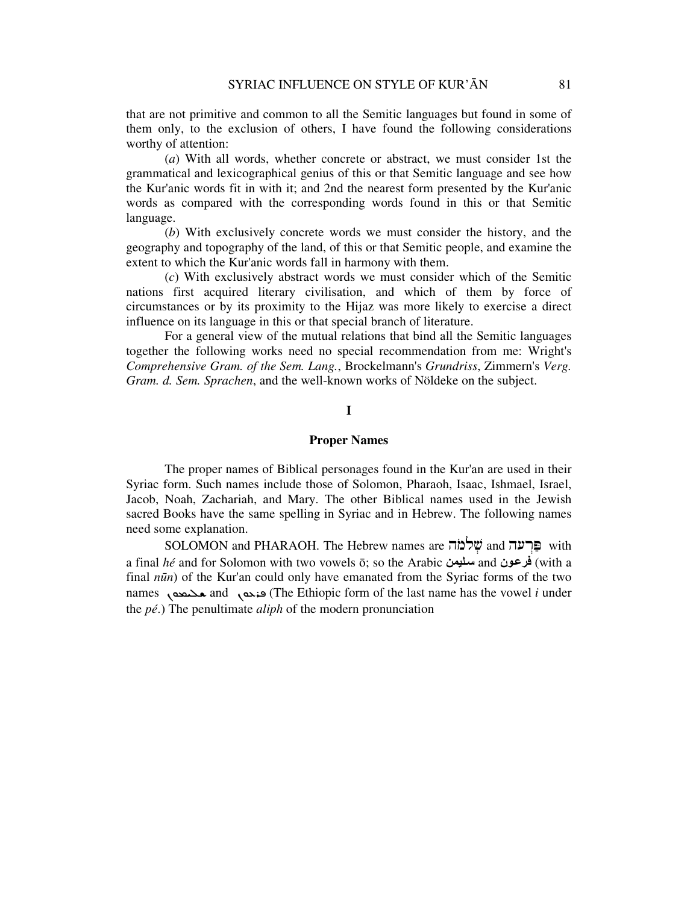that are not primitive and common to all the Semitic languages but found in some of them only, to the exclusion of others, I have found the following considerations worthy of attention:

(*a*) With all words, whether concrete or abstract, we must consider 1st the grammatical and lexicographical genius of this or that Semitic language and see how the Kur'anic words fit in with it; and 2nd the nearest form presented by the Kur'anic words as compared with the corresponding words found in this or that Semitic language.

(*b*) With exclusively concrete words we must consider the history, and the geography and topography of the land, of this or that Semitic people, and examine the extent to which the Kur'anic words fall in harmony with them.

(*c*) With exclusively abstract words we must consider which of the Semitic nations first acquired literary civilisation, and which of them by force of circumstances or by its proximity to the Hijaz was more likely to exercise a direct influence on its language in this or that special branch of literature.

For a general view of the mutual relations that bind all the Semitic languages together the following works need no special recommendation from me: Wright's *Comprehensive Gram. of the Sem. Lang.*, Brockelmann's *Grundriss*, Zimmern's *Verg. Gram. d. Sem. Sprachen*, and the well-known works of Nöldeke on the subject.

# **I**

#### **Proper Names**

The proper names of Biblical personages found in the Kur'an are used in their Syriac form. Such names include those of Solomon, Pharaoh, Isaac, Ishmael, Israel, Jacob, Noah, Zachariah, and Mary. The other Biblical names used in the Jewish sacred Books have the same spelling in Syriac and in Hebrew. The following names need some explanation.

SOLOMON and PHARAOH. The Hebrew names are שְׁלֹמֹה and  $\ddot{z}$ שׁ with a final *hé* and for Solomon with two vowels ō; so the Arabic ليمنس and ونفرع) with a final *n*ū*n*) of the Kur'an could only have emanated from the Syriac forms of the two names محتمعه and محتمعه and per form of the last name has the vowel *i* under the *pé*.) The penultimate *aliph* of the modern pronunciation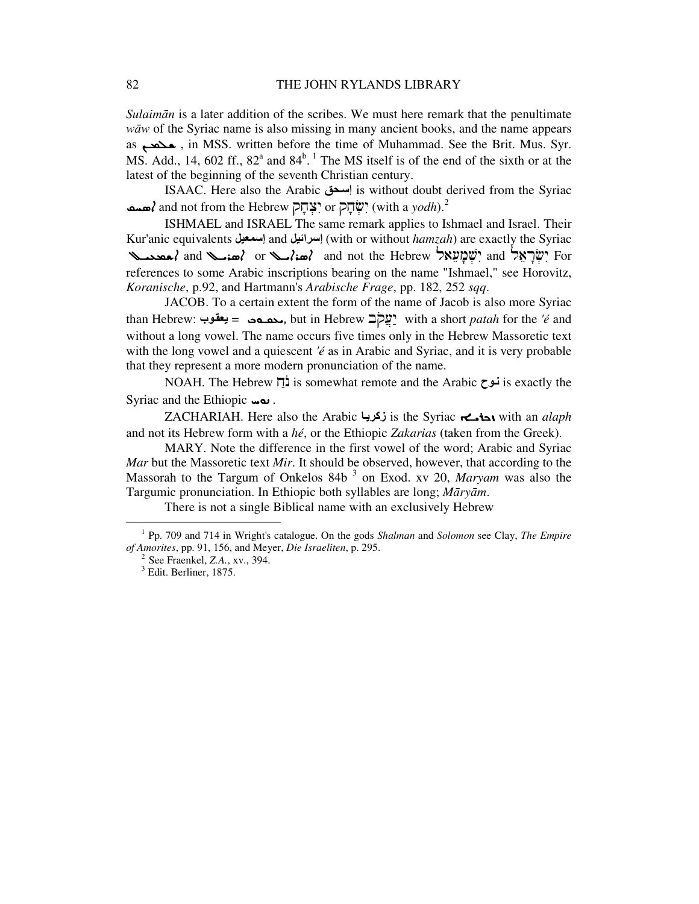*Sulaim*ā*n* is a later addition of the scribes. We must here remark that the penultimate *w*ā*w* of the Syriac name is also missing in many ancient books, and the name appears as محمد, in MSS. written before the time of Muhammad. See the Brit. Mus. Syr. MS. Add., 14, 602 ff.,  $82^{\degree}$  and  $84^{\degree}$ . The MS itself is of the end of the sixth or at the latest of the beginning of the seventh Christian century.

ISAAC. Here also the Arabic حقإس is without doubt derived from the Syriac **مسم**) and not from the Hebrew יִצְּחָק $\cdot$  ְשׁוֹחָ $\cdot$  (with a  $yodh$ ). $^2$ 

ISHMAEL and ISRAEL The same remark applies to Ishmael and Israel. Their Kur'anic equivalents إسمعيل and إسرائيل) with or without *hamzah*) are exactly the Syriac عمد الله مسلم and not the Hebrew بَالْبِتِهِيمَ and y and y مُصدَم and y مُصدَم and  $\lambda$  or ، مُصدَم الله عليه references to some Arabic inscriptions bearing on the name "Ishmael," see Horovitz, *Koranische*, p.92, and Hartmann's *Arabische Frage*, pp. 182, 252 *sqq*.

JACOB. To a certain extent the form of the name of Jacob is also more Syriac than Hebrew: محصحت = يعقوب. but in Hebrew بعقوب. with a short *patah* for the *'é* and without a long vowel. The name occurs five times only in the Hebrew Massoretic text with the long vowel and a quiescent *'é* as in Arabic and Syriac, and it is very probable that they represent a more modern pronunciation of the name.

NOAH. The Hebrew  $\overline{p}$  is somewhat remote and the Arabic  $\overline{c}$  is exactly the Syriac and the Ethiopic  $\omega$ .

ZACHARIAH. Here also the Arabic ازكري is the Syriac ܙܟܪܝـܐ with an *alaph* and not its Hebrew form with a *hé*, or the Ethiopic *Zakarias* (taken from the Greek).

MARY. Note the difference in the first vowel of the word; Arabic and Syriac *Mar* but the Massoretic text *Mir*. It should be observed, however, that according to the Massorah to the Targum of Onkelos 84b<sup>3</sup> on Exod. xv 20, *Maryam* was also the Targumic pronunciation. In Ethiopic both syllables are long; *M*ā*ry*ā*m*.

There is not a single Biblical name with an exclusively Hebrew

<sup>1</sup> Pp. 709 and 714 in Wright's catalogue. On the gods *Shalman* and *Solomon* see Clay, *The Empire of Amorites*, pp. 91, 156, and Meyer, *Die Israeliten*, p. 295.

<sup>&</sup>lt;sup>2</sup> See Fraenkel, *Z.A.*, *xv.*, 394.

 $<sup>3</sup>$  Edit. Berliner, 1875.</sup>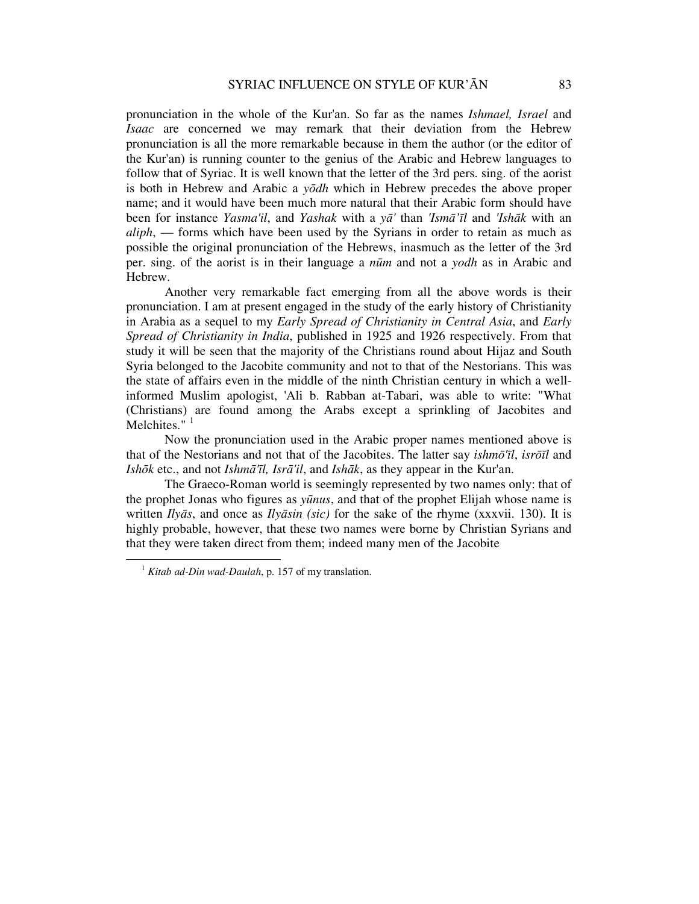pronunciation in the whole of the Kur'an. So far as the names *Ishmael, Israel* and *Isaac* are concerned we may remark that their deviation from the Hebrew pronunciation is all the more remarkable because in them the author (or the editor of the Kur'an) is running counter to the genius of the Arabic and Hebrew languages to follow that of Syriac. It is well known that the letter of the 3rd pers. sing. of the aorist is both in Hebrew and Arabic a *y*ō*dh* which in Hebrew precedes the above proper name; and it would have been much more natural that their Arabic form should have been for instance *Yasma'il*, and *Yashak* with a *y*ā*'* than *'Ism*ā*'*ī*l* and *'Ish*ā*k* with an *aliph*, — forms which have been used by the Syrians in order to retain as much as possible the original pronunciation of the Hebrews, inasmuch as the letter of the 3rd per. sing. of the aorist is in their language a *n*ū*m* and not a *yodh* as in Arabic and Hebrew.

Another very remarkable fact emerging from all the above words is their pronunciation. I am at present engaged in the study of the early history of Christianity in Arabia as a sequel to my *Early Spread of Christianity in Central Asia*, and *Early Spread of Christianity in India*, published in 1925 and 1926 respectively. From that study it will be seen that the majority of the Christians round about Hijaz and South Syria belonged to the Jacobite community and not to that of the Nestorians. This was the state of affairs even in the middle of the ninth Christian century in which a wellinformed Muslim apologist, 'Ali b. Rabban at-Tabari, was able to write: "What (Christians) are found among the Arabs except a sprinkling of Jacobites and Melchites."<sup>1</sup>

Now the pronunciation used in the Arabic proper names mentioned above is that of the Nestorians and not that of the Jacobites. The latter say *ishm*ō*'*ī*l*, *isr*ōī*l* and *Ish*ō*k* etc., and not *Ishm*ā*'*ī*l, Isr*ā*'il*, and *Ish*ā*k*, as they appear in the Kur'an.

The Graeco-Roman world is seemingly represented by two names only: that of the prophet Jonas who figures as *y*ū*nus*, and that of the prophet Elijah whose name is written *Ily*ā*s*, and once as *Ily*ā*sin (sic)* for the sake of the rhyme (xxxvii. 130). It is highly probable, however, that these two names were borne by Christian Syrians and that they were taken direct from them; indeed many men of the Jacobite

<sup>1</sup> *Kitab ad-Din wad-Daulah*, p. 157 of my translation.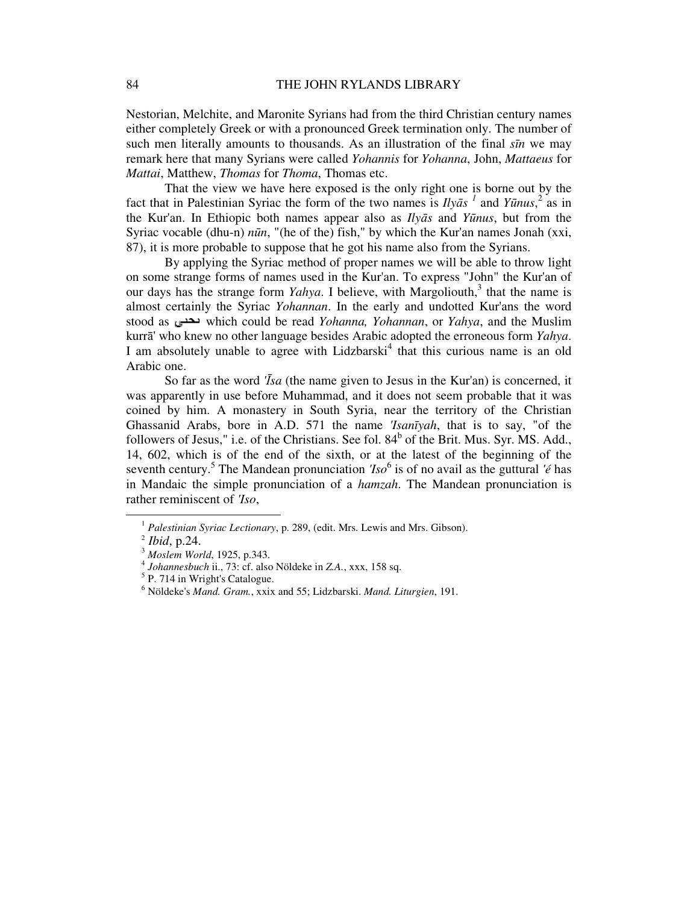Nestorian, Melchite, and Maronite Syrians had from the third Christian century names either completely Greek or with a pronounced Greek termination only. The number of such men literally amounts to thousands. As an illustration of the final *s*ī*n* we may remark here that many Syrians were called *Yohannis* for *Yohanna*, John, *Mattaeus* for *Mattai*, Matthew, *Thomas* for *Thoma*, Thomas etc.

That the view we have here exposed is the only right one is borne out by the fact that in Palestinian Syriac the form of the two names is  $Ily\bar{a}s<sup>1</sup>$  and  $Y\bar{u}nus<sup>2</sup>$  as in the Kur'an. In Ethiopic both names appear also as *Ily*ā*s* and *Y*ū*nus*, but from the Syriac vocable (dhu-n) *n*ū*n*, "(he of the) fish," by which the Kur'an names Jonah (xxi, 87), it is more probable to suppose that he got his name also from the Syrians.

By applying the Syriac method of proper names we will be able to throw light on some strange forms of names used in the Kur'an. To express "John" the Kur'an of our days has the strange form *Yahya*. I believe, with Margoliouth,<sup>3</sup> that the name is almost certainly the Syriac *Yohannan*. In the early and undotted Kur'ans the word stood as which could be read *Yohanna, Yohannan*, or *Yahya*, and the Muslim kurrā' who knew no other language besides Arabic adopted the erroneous form *Yahya*. I am absolutely unable to agree with Lidzbarski<sup>4</sup> that this curious name is an old Arabic one.

So far as the word *'*Ī*sa* (the name given to Jesus in the Kur'an) is concerned, it was apparently in use before Muhammad, and it does not seem probable that it was coined by him. A monastery in South Syria, near the territory of the Christian Ghassanid Arabs, bore in A.D. 571 the name *'Isan*ī*yah*, that is to say, "of the followers of Jesus," i.e. of the Christians. See fol.  $84<sup>b</sup>$  of the Brit. Mus. Syr. MS. Add., 14, 602, which is of the end of the sixth, or at the latest of the beginning of the seventh century.<sup>5</sup> The Mandean pronunciation *'Iso*<sup>6</sup> is of no avail as the guttural *'é* has in Mandaic the simple pronunciation of a *hamzah*. The Mandean pronunciation is rather reminiscent of *'Iso*,

<sup>&</sup>lt;sup>1</sup> Palestinian Syriac Lectionary, p. 289, (edit. Mrs. Lewis and Mrs. Gibson).

<sup>2</sup> *Ibid*, p.24.

<sup>3</sup> *Moslem World*, 1925, p.343.

<sup>4</sup> *Johannesbuch* ii., 73: cf. also Nöldeke in *Z.A.*, xxx, 158 sq.

<sup>&</sup>lt;sup>5</sup> P. 714 in Wright's Catalogue.

<sup>6</sup> Nöldeke's *Mand. Gram.*, xxix and 55; Lidzbarski. *Mand. Liturgien*, 191.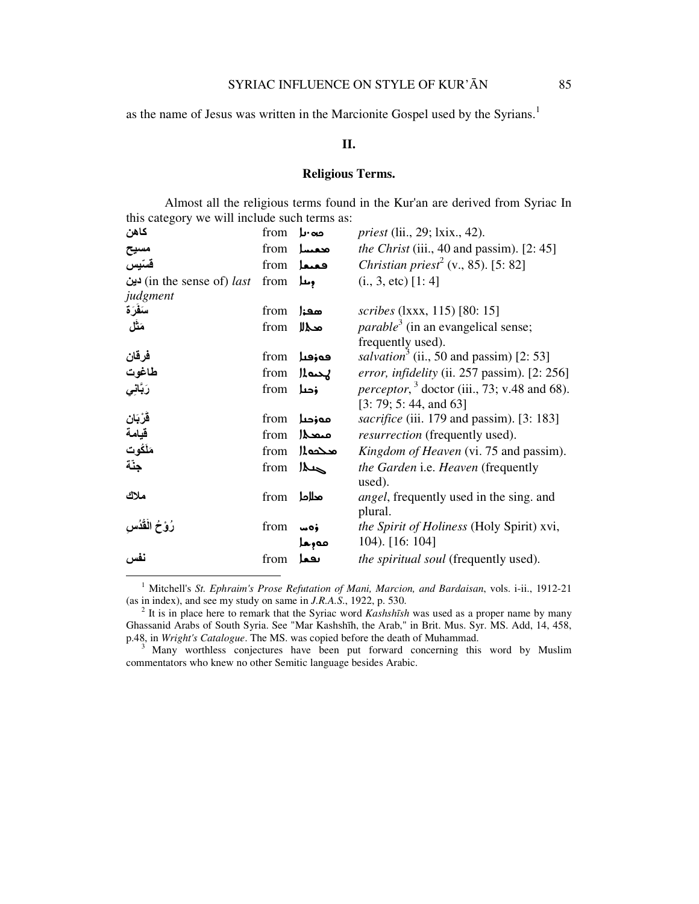as the name of Jesus was written in the Marcionite Gospel used by the Syrians.<sup>1</sup>

#### **II.**

# **Religious Terms.**

Almost all the religious terms found in the Kur'an are derived from Syriac In this category we will include such terms as:

| كاهن                                     | from | دα∙ىا        | <i>priest</i> (lii., 29; lxix., 42).                           |
|------------------------------------------|------|--------------|----------------------------------------------------------------|
| مسيح                                     | from | محمسا        | <i>the Christ</i> (iii., 40 and passim). $[2: 45]$             |
| قستيس                                    | from | فعنعا        | <i>Christian priest</i> <sup>2</sup> (v., 85). [5: 82]         |
| in the sense of) <i>last</i> ) دین       | from | ومعار        | $(i., 3, etc)$ [1:4]                                           |
| judgment                                 |      |              |                                                                |
| سَفَرَة                                  | from | معنز         | scribes (1xxx, 115) [80: 15]                                   |
| مَثَل                                    | from | محى          | <i>parable</i> <sup>3</sup> (in an evangelical sense;          |
|                                          |      |              | frequently used).                                              |
| فرقان                                    | from | فوزقيل       | salvation <sup>3</sup> (ii., 50 and passim) [2: 53]            |
| طاغوت<br>رَبَّان <i>ِي</i>               | from | المصلا       | error, infidelity (ii. $257$ passim). $[2: 256]$               |
|                                          | from | <b>ز</b> حىل | <i>perceptor</i> , $3 \text{ doctor (iii., 73; v.48 and 68).}$ |
|                                          |      |              | [3: 79; 5: 44, and 63]                                         |
| ڨُرْبَان                                 | from | مەزدىل       | sacrifice (iii. 179 and passim). [3: 183]                      |
|                                          | from | متعجز        | <i>resurrection</i> (frequently used).                         |
| <del>ت: -</del><br>قيامة<br>جنّة<br>جنّة | from | محجملا       | Kingdom of Heaven (vi. 75 and passim).                         |
|                                          | from | $M_{\odot}$  | the Garden i.e. Heaven (frequently                             |
| ملاك                                     |      |              | used).                                                         |
|                                          | from | محلاحا       | angel, frequently used in the sing. and<br>plural.             |
| رُوْحُ الْقُدُسِ                         | from | woj          | <i>the Spirit of Holiness</i> (Holy Spirit) xvi,               |
|                                          |      | مەرھا        | 104). [16: 104]                                                |
| نفس                                      | from | بقعا         | the spiritual soul (frequently used).                          |
|                                          |      |              |                                                                |

<sup>1</sup> Mitchell's St. Ephraim's Prose Refutation of Mani, Marcion, and Bardaisan, vols. i-ii., 1912-21 (as in index), and see my study on same in *J.R.A.S*., 1922, p. 530.

<sup>2</sup> It is in place here to remark that the Syriac word *Kashsh*ī*sh* was used as a proper name by many Ghassanid Arabs of South Syria. See "Mar Kashshīh, the Arab," in Brit. Mus. Syr. MS. Add, 14, 458, p.48, in *Wright's Catalogue*. The MS. was copied before the death of Muhammad.

 $3^3$  Many worthless conjectures have been put forward concerning this word by Muslim commentators who knew no other Semitic language besides Arabic.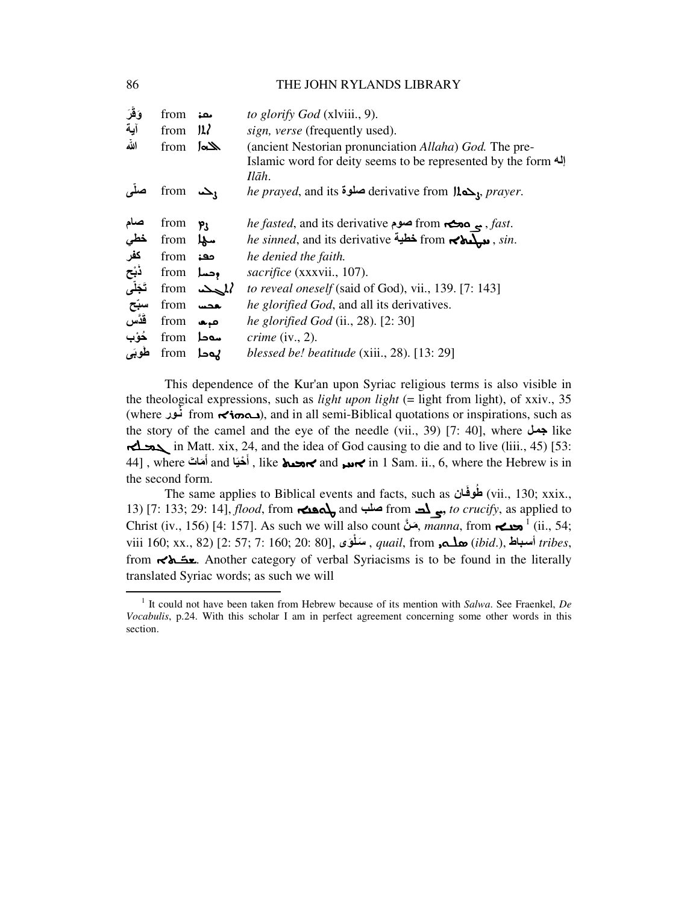| وَقَرَ                   | from                | معن             | to glorify God (xlviii., 9).                                                            |
|--------------------------|---------------------|-----------------|-----------------------------------------------------------------------------------------|
| آية                      | from                | 12 <sup>2</sup> | sign, verse (frequently used).                                                          |
| اللّه                    | from                | الخام           | (ancient Nestorian pronunciation <i>Allaha</i> ) God. The pre-                          |
|                          |                     |                 | Islamic word for deity seems to be represented by the form <a></a>                      |
|                          |                     |                 | Ilāh.                                                                                   |
|                          | from $\mathbf{L}_1$ |                 | <i>he prayed</i> , and its <b>صلوة</b> derivative from $\mu_{\infty}$ , <i>prayer</i> . |
|                          |                     |                 |                                                                                         |
| صنام                     | from                | ۴ι              | <i>he fasted</i> , and its derivative <b>صوم</b> from <b>صور</b> م <i>fast.</i>         |
| خطي                      | from <b>4</b>       |                 | he sinned, and its derivative خطية from جمعية, sin.                                     |
| كفر                      | from                | معۃ             | he denied the faith.                                                                    |
| ڏبُح<br>تَجَلَّ <i>ى</i> | from محسل           |                 | sacrifice (xxxvii., 107).                                                               |
|                          |                     | from $\Delta l$ | to reveal oneself (said of God), vii., 139. [7: 143]                                    |
| سبّح                     | from                | بعضت            | he glorified God, and all its derivatives.                                              |
| قَدَّسَ                  | from                | طبعا            | <i>he glorified God</i> (ii., 28). $[2:30]$                                             |
| خُوْب                    | from                | سەدا            | <i>crime</i> (iv., 2).                                                                  |
| طوبَى                    | from                | يەدا            | blessed be! beatitude (xiii., 28). [13: 29]                                             |

This dependence of the Kur'an upon Syriac religious terms is also visible in the theological expressions, such as *light upon light* (= light from light), of xxiv., 35 (where نُور), and in all semi-Biblical quotations or inspirations, such as the story of the camel and the eye of the needle (vii., 39) [7: 40], where  $\leftrightarrow$  like ܓܡـ in Matt. xix, 24, and the idea of God causing to die and to live (liii., 45) [53:  $\,$  and أَحْيَا and أَحْيَا and جمعيها and جمعيها and أَخَيْنا and أَحْيَا and أَحْيَا and  $\,$  in  $\,$  I Sam. ii., 6, where the Hebrew is in َ َ the second form.

The same applies to Biblical events and facts, such as انَوفُط) vii., 130; xxix., 13) [7: 133; 29: 14], *flood*, from ܛܘܦܢܐ and صلب from ܨܠܒ**,** *to crucify*, as applied to Christ (iv., 156) [4: 157]. As such we will also count مَنْ *manna*, from **حن** <sup>1</sup> (ii., 54; viii 160; xx., 82) [2: 57; 7: 160; 20: 80], سَلْوَى ,*quail*, from أسباط ,*ibid.*), أسباط ,*tribes,* from ـ **E**. Another category of verbal Syriacisms is to be found in the literally translated Syriac words; as such we will

<sup>1</sup> It could not have been taken from Hebrew because of its mention with *Salwa*. See Fraenkel, *De Vocabulis*, p.24. With this scholar I am in perfect agreement concerning some other words in this section.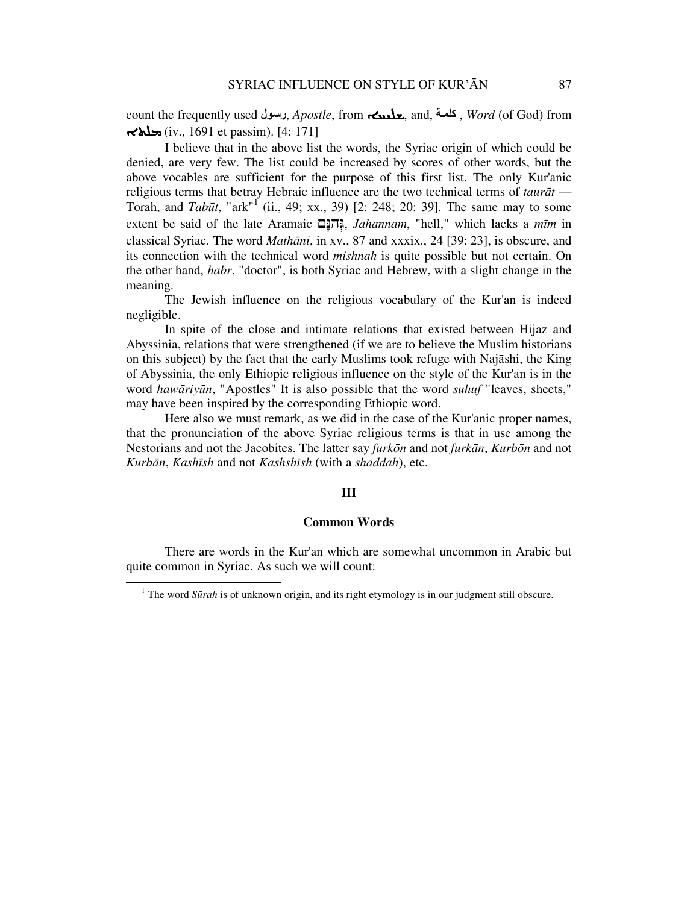count the frequently used رسول, *Apostle*, from جن**لملي,** and, تكلمة, *Word* (of God) from ܡܠܬܐ) iv., 1691 et passim). [4: 171]

I believe that in the above list the words, the Syriac origin of which could be denied, are very few. The list could be increased by scores of other words, but the above vocables are sufficient for the purpose of this first list. The only Kur'anic religious terms that betray Hebraic influence are the two technical terms of *taur*ā*t* — Torah, and *Tabūt*, "ark"<sup>I</sup> (ii., 49; xx., 39) [2: 248; 20: 39]. The same may to some extent be said of the late Aramaic םָהנּ ְגּ, *Jahannam*, "hell," which lacks a *m*ī*m* in classical Syriac. The word *Math*ā*ni*, in xv., 87 and xxxix., 24 [39: 23], is obscure, and its connection with the technical word *mishnah* is quite possible but not certain. On the other hand, *habr*, "doctor", is both Syriac and Hebrew, with a slight change in the meaning.

The Jewish influence on the religious vocabulary of the Kur'an is indeed negligible.

In spite of the close and intimate relations that existed between Hijaz and Abyssinia, relations that were strengthened (if we are to believe the Muslim historians on this subject) by the fact that the early Muslims took refuge with Najāshi, the King of Abyssinia, the only Ethiopic religious influence on the style of the Kur'an is in the word *haw*ā*riy*ū*n*, "Apostles" It is also possible that the word *suhuf* "leaves, sheets," may have been inspired by the corresponding Ethiopic word.

Here also we must remark, as we did in the case of the Kur'anic proper names, that the pronunciation of the above Syriac religious terms is that in use among the Nestorians and not the Jacobites. The latter say *furk*ō*n* and not *furk*ā*n*, *Kurb*ō*n* and not *Kurb*ā*n*, *Kash*ī*sh* and not *Kashsh*ī*sh* (with a *shaddah*), etc.

#### **III**

## **Common Words**

There are words in the Kur'an which are somewhat uncommon in Arabic but quite common in Syriac. As such we will count:

<sup>&</sup>lt;sup>1</sup> The word *Sūrah* is of unknown origin, and its right etymology is in our judgment still obscure.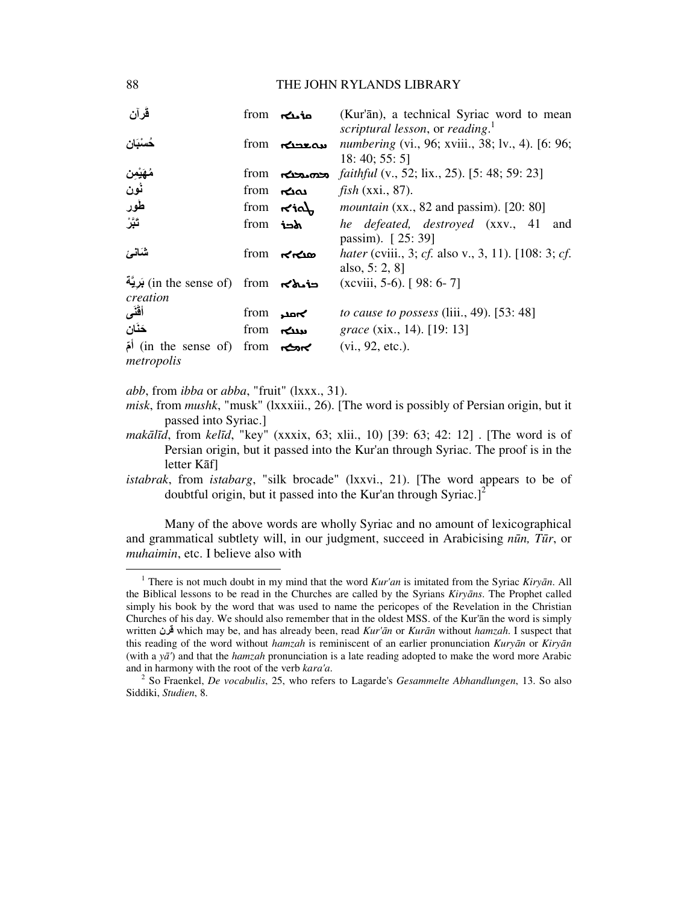| ڤرآن                                 |                | from <b>انگ</b>    | (Kur'ān), a technical Syriac word to mean               |
|--------------------------------------|----------------|--------------------|---------------------------------------------------------|
|                                      |                |                    | scriptural lesson, or reading.                          |
| خُسْبَان                             |                | from <b>المعدم</b> | <i>numbering</i> (vi., 96; xviii., 38; lv., 4). [6: 96; |
|                                      |                |                    | 18: 40; 55: 5                                           |
| مُهَيْمِن<br>نُون                    |                | from ranos         | <i>faithful</i> (v., 52; lix., 25). [5: 48; 59: 23]     |
|                                      | from <b>ہے</b> |                    | fish (xxi., 87).                                        |
| طَور                                 |                | from $\kappa$ iol  | <i>mountain</i> (xx., 82 and passim). $[20:80]$         |
| تَبَّرُ                              | from <b>خط</b> |                    | he defeated, destroyed (xxv., 41<br>and                 |
|                                      |                |                    | passim). [25:39]                                        |
| شَانْسَ                              | from           | محامحه             | hater (cviii., 3; cf. also v., 3, 11). [108: 3; cf.     |
|                                      |                |                    | also, 5: 2, 8]                                          |
| توفي (in the sense of) from بَرِيَّة |                |                    | $(xcviii, 5-6)$ . [98:6-7]                              |
| creation                             |                |                    |                                                         |
| أقنى                                 | from           | ∕∽مدر              | to cause to possess (liii., 49). $[53:48]$              |
| حَنَان                               | from           | سنگ                | <i>grace</i> (xix., 14). [19: 13]                       |
| in the sense of) from $\sim$         |                |                    | (vi., 92, etc.).                                        |
| metropolis                           |                |                    |                                                         |

*abb*, from *ibba* or *abba*, "fruit" (lxxx., 31).

- *misk*, from *mushk*, "musk" (lxxxiii., 26). [The word is possibly of Persian origin, but it passed into Syriac.]
- *mak*ā*l*ī*d*, from *kel*ī*d*, "key" (xxxix, 63; xlii., 10) [39: 63; 42: 12] . [The word is of Persian origin, but it passed into the Kur'an through Syriac. The proof is in the letter Kāf]
- *istabrak*, from *istabarg*, "silk brocade" (lxxvi., 21). [The word appears to be of doubtful origin, but it passed into the Kur'an through Syriac.]<sup>2</sup>

Many of the above words are wholly Syriac and no amount of lexicographical and grammatical subtlety will, in our judgment, succeed in Arabicising *n*ū*n, T*ū*r*, or *muhaimin*, etc. I believe also with

<sup>1</sup> There is not much doubt in my mind that the word *Kur'an* is imitated from the Syriac *Kiry*ā*n*. All the Biblical lessons to be read in the Churches are called by the Syrians *Kiry*ā*ns*. The Prophet called simply his book by the word that was used to name the pericopes of the Revelation in the Christian Churches of his day. We should also remember that in the oldest MSS. of the Kur'ān the word is simply written قرن which may be, and has already been, read *Kur'*ā*n* or *Kur*ā*n* without *hamzah*. I suspect that this reading of the word without *hamzah* is reminiscent of an earlier pronunciation *Kury*ā*n* or *Kiry*ā*n* (with a *y*ā*'*) and that the *hamzah* pronunciation is a late reading adopted to make the word more Arabic and in harmony with the root of the verb *kara'a*.

<sup>2</sup> So Fraenkel, *De vocabulis*, 25, who refers to Lagarde's *Gesammelte Abhandlungen*, 13. So also Siddiki, *Studien*, 8.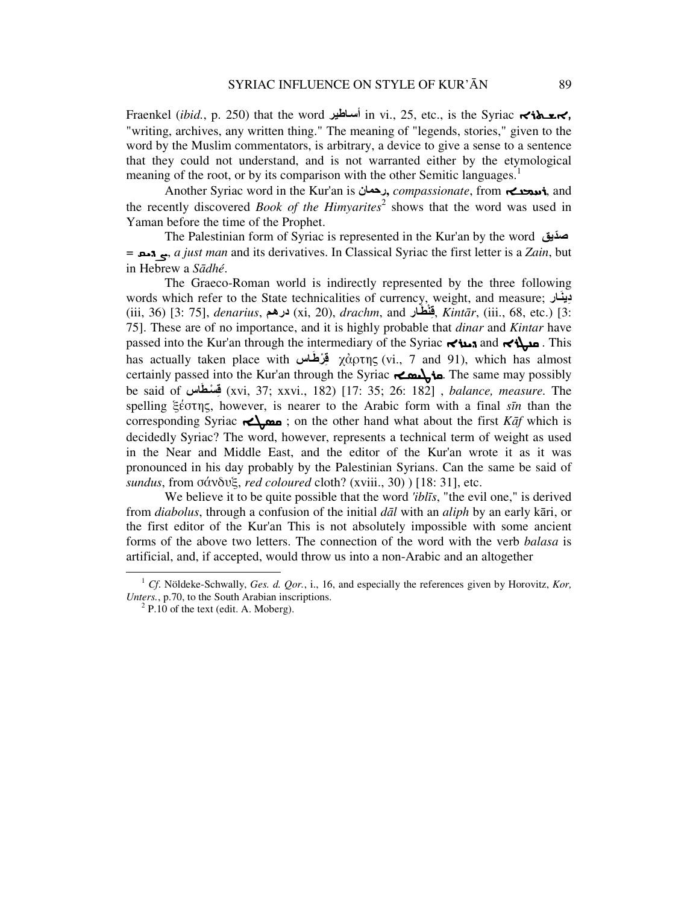Fraenkel (*ibid.*, p. 250) that the word اطيرأس in vi., 25, etc., is the Syriac ܐܫـܬܪܐ, "writing, archives, any written thing." The meaning of "legends, stories," given to the word by the Muslim commentators, is arbitrary, a device to give a sense to a sentence that they could not understand, and is not warranted either by the etymological meaning of the root, or by its comparison with the other Semitic languages.<sup>1</sup>

Another Syriac word in the Kur'an is رحمان**,** *compassionate*, from ܪܚܡܢـܐ, and the recently discovered *Book of the Himyarites*<sup>2</sup> shows that the word was used in Yaman before the time of the Prophet.

The Palestinian form of Syriac is represented in the Kur'an by the word صديقّ = ܨܕܝܩ, *a just man* and its derivatives. In Classical Syriac the first letter is a *Zain*, but in Hebrew a *S*ā*dhé*.

The Graeco-Roman world is indirectly represented by the three following words which refer to the State technicalities of currency, weight, and measure; ارَدينِ (iii, 36) [3: 75], *denarius*, مدرھ) xi, 20), *drachm*, and ارَنطْ ِق, *Kint*ā*r*, (iii., 68, etc.) [3: 75]. These are of no importance, and it is highly probable that *dinar* and *Kintar* have passed into the Kur'an through the intermediary of the Syriac ܕܝܢܪܐ and ܩܢܛܪܐ . This has actually taken place with **الَّذِهَاس** χἀρτης (vi., 7 and 91), which has almost certainly passed into the Kur'an through the Syriac ܩܪܛܝܣـܐ. The same may possibly be said of اسَطسْ ِق) xvi, 37; xxvi., 182) [17: 35; 26: 182] , *balance, measure.* The spelling ξέστης, however, is nearer to the Arabic form with a final *s*ī*n* than the corresponding Syriac ܩܣܛـܐ ; on the other hand what about the first *K*ā*f* which is decidedly Syriac? The word, however, represents a technical term of weight as used in the Near and Middle East, and the editor of the Kur'an wrote it as it was pronounced in his day probably by the Palestinian Syrians. Can the same be said of *sundus*, from σάνδυξ, *red coloured* cloth? (xviii., 30) ) [18: 31], etc.

We believe it to be quite possible that the word *'ibl*ī*s*, "the evil one," is derived from *diabolus*, through a confusion of the initial *d*ā*l* with an *aliph* by an early kāri, or the first editor of the Kur'an This is not absolutely impossible with some ancient forms of the above two letters. The connection of the word with the verb *balasa* is artificial, and, if accepted, would throw us into a non-Arabic and an altogether

<sup>1</sup> *Cf*. Nöldeke-Schwally, *Ges. d. Qor.*, i., 16, and especially the references given by Horovitz, *Kor, Unters.*, p.70, to the South Arabian inscriptions.

 $2^2$  P.10 of the text (edit. A. Moberg).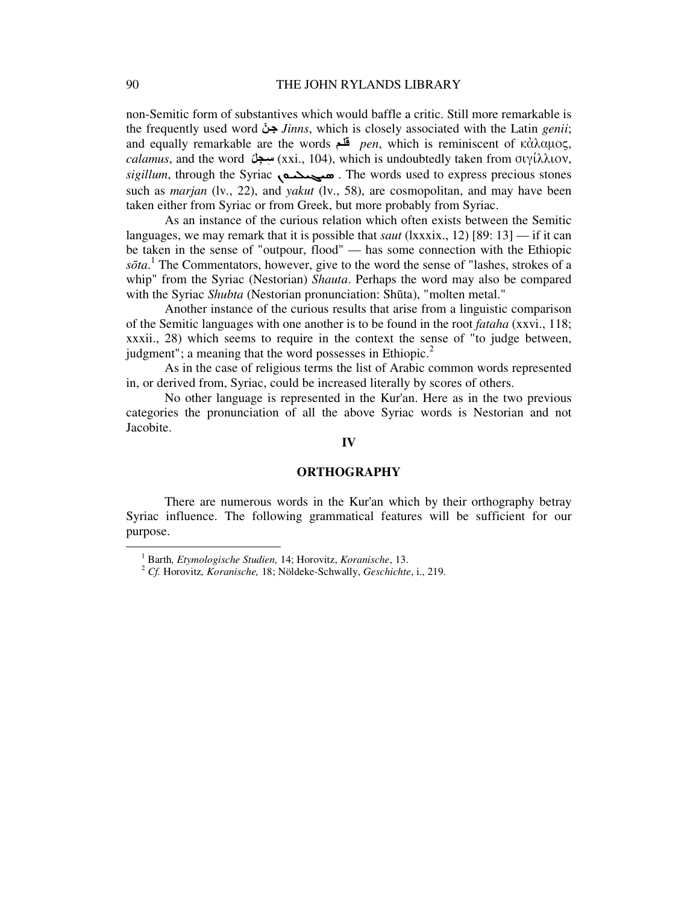non-Semitic form of substantives which would baffle a critic. Still more remarkable is the frequently used word نجّ *Jinns*, which is closely associated with the Latin *genii*; and equally remarkable are the words مقل *pen*, which is reminiscent of κἀλαµος, *calamus*, and the word سِعِبْلَ (xxi., 104), which is undoubtedly taken from σιγίλλιον, sigillum, through the Syriac **comediate** . The words used to express precious stones such as *marjan* (lv., 22), and *yakut* (lv., 58), are cosmopolitan, and may have been taken either from Syriac or from Greek, but more probably from Syriac.

As an instance of the curious relation which often exists between the Semitic languages, we may remark that it is possible that *saut* (lxxxix., 12) [89: 13] — if it can be taken in the sense of "outpour, flood" — has some connection with the Ethiopic sōta.<sup>1</sup> The Commentators, however, give to the word the sense of "lashes, strokes of a whip" from the Syriac (Nestorian) *Shauta*. Perhaps the word may also be compared with the Syriac *Shubta* (Nestorian pronunciation: Shūta), "molten metal."

Another instance of the curious results that arise from a linguistic comparison of the Semitic languages with one another is to be found in the root *fataha* (xxvi., 118; xxxii., 28) which seems to require in the context the sense of "to judge between, judgment"; a meaning that the word possesses in Ethiopic. $2$ 

As in the case of religious terms the list of Arabic common words represented in, or derived from, Syriac, could be increased literally by scores of others.

No other language is represented in the Kur'an. Here as in the two previous categories the pronunciation of all the above Syriac words is Nestorian and not Jacobite.

#### **IV**

#### **ORTHOGRAPHY**

There are numerous words in the Kur'an which by their orthography betray Syriac influence. The following grammatical features will be sufficient for our purpose.

<sup>1</sup> Barth*, Etymologische Studien,* 14; Horovitz, *Koranische*, 13.

<sup>2</sup> *Cf.* Horovitz*, Koranische,* 18; Nöldeke-Schwally, *Geschichte*, i., 219.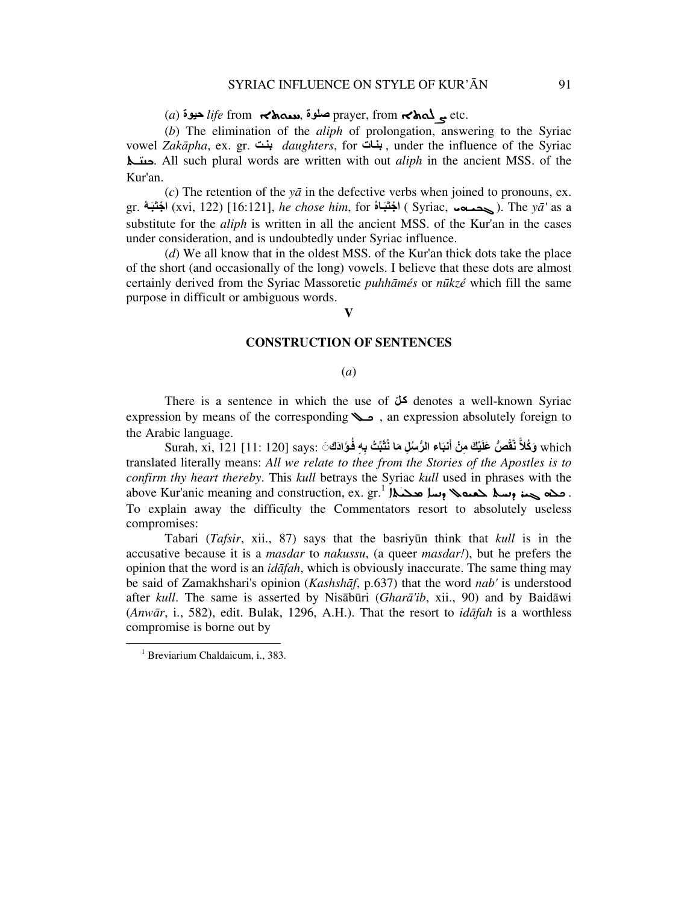# (*a*) حيوة *life* from ܚܝܘܬܐ, صلوة prayer, from ܨܠܘܬܐ etc.

(*b*) The elimination of the *aliph* of prolongation, answering to the Syriac vowel *Zak*ā*pha*, ex. gr. تبن *daughters*, for اتبن , under the influence of the Syriac "-; '. All such plural words are written with out *aliph* in the ancient MSS. of the Kur'an.

(*c*) The retention of the *y*ā in the defective verbs when joined to pronouns, ex. gr. ُهَبَاجت ْ) xvi, 122) [16:121], *he chose him*, for ُاهَبَاجت ْ ) Syriac, <-6\* ). The *y*ā*'* as a substitute for the *aliph* is written in all the ancient MSS. of the Kur'an in the cases under consideration, and is undoubtedly under Syriac influence.

(*d*) We all know that in the oldest MSS. of the Kur'an thick dots take the place of the short (and occasionally of the long) vowels. I believe that these dots are almost certainly derived from the Syriac Massoretic *puhh*ā*més* or *n*ū*kzé* which fill the same purpose in difficult or ambiguous words.

# **V**

#### **CONSTRUCTION OF SENTENCES**

#### (*a*)

There is a sentence in which the use of  $\mathcal{F}$  denotes a well-known Syriac expression by means of the corresponding  $\sim$ , an expression absolutely foreign to the Arabic language.

Surah, xi, 121 [11: 120] says: ٱلْجَاءِ الرُّسُلِ مَا نُثَبِّتُ بِهِ فُوَادَك $\rm sys$  (11: 120 [11: 120]  $\rm which$ translated literally means: *All we relate to thee from the Stories of the Apostles is to confirm thy heart thereby*. This *kull* betrays the Syriac *kull* used in phrases with the above Kur'anic meaning and construction, ex.  $\mathrm{gr.}^{1}$  الحمد (السلم حمد (مسلم حمد (السلم حمد ). .<br>. To explain away the difficulty the Commentators resort to absolutely useless compromises:

Tabari (*Tafsir*, xii., 87) says that the basriyūn think that *kull* is in the accusative because it is a *masdar* to *nakussu*, (a queer *masdar!*), but he prefers the opinion that the word is an *id*ā*fah*, which is obviously inaccurate. The same thing may be said of Zamakhshari's opinion (*Kashsh*ā*f*, p.637) that the word *nab'* is understood after *kull*. The same is asserted by Nisābūri (*Ghar*ā*'ib*, xii., 90) and by Baidāwi (*Anw*ā*r*, i., 582), edit. Bulak, 1296, A.H.). That the resort to *id*ā*fah* is a worthless compromise is borne out by

<sup>&</sup>lt;sup>1</sup> Breviarium Chaldaicum, i., 383.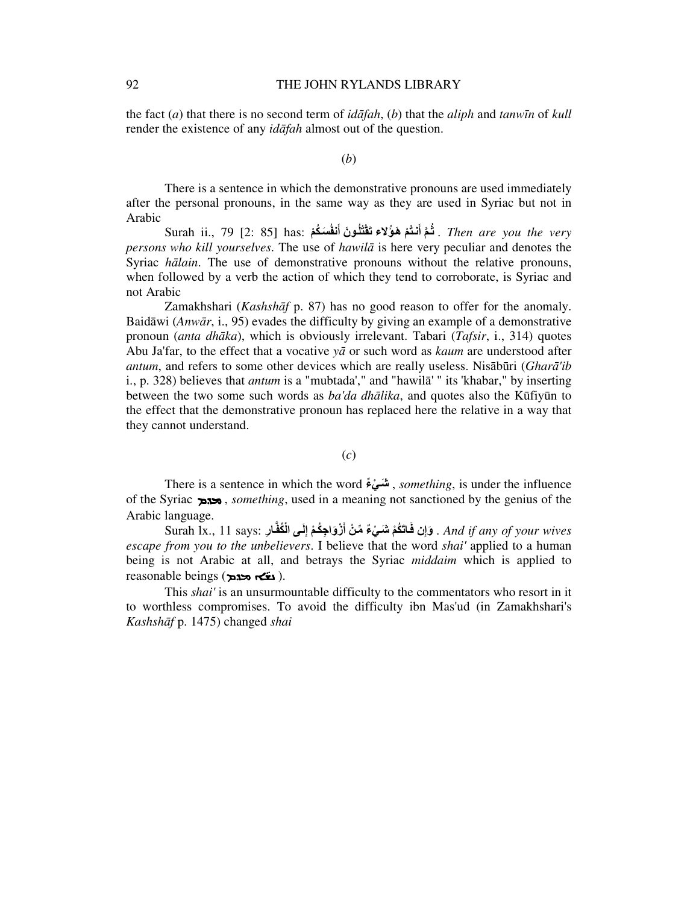the fact (*a*) that there is no second term of *id*ā*fah*, (*b*) that the *aliph* and *tanw*ī*n* of *kull* render the existence of any *id*ā*fah* almost out of the question.

(*b*)

There is a sentence in which the demonstrative pronouns are used immediately after the personal pronouns, in the same way as they are used in Syriac but not in Arabic

Surah ii., مَلَّا اَنْتُمْ هَوُلاء<sub>َ</sub> تَقْتُلُونَ أَنفُسَكُمْ . Then are you the very *persons who kill yourselves*. The use of *hawil*ā is here very peculiar and denotes the Syriac *h*ā*lain*. The use of demonstrative pronouns without the relative pronouns, when followed by a verb the action of which they tend to corroborate, is Syriac and not Arabic

Zamakhshari (*Kashsh*ā*f* p. 87) has no good reason to offer for the anomaly. Baidāwi (*Anw*ā*r*, i., 95) evades the difficulty by giving an example of a demonstrative pronoun (*anta dh*ā*ka*), which is obviously irrelevant. Tabari (*Tafsir*, i., 314) quotes Abu Ja'far, to the effect that a vocative *y*ā or such word as *kaum* are understood after *antum*, and refers to some other devices which are really useless. Nisābūri (*Ghar*ā*'ib* i., p. 328) believes that *antum* is a "mubtada'," and "hawilā' " its 'khabar," by inserting between the two some such words as *ba'da dh*ā*lika*, and quotes also the Kūfiyūn to the effect that the demonstrative pronoun has replaced here the relative in a way that they cannot understand.

(*c*)

There is a sentence in which the word ءٌ ي ْ شَ , *something*, is under the influence of the Syriac ܡܕܡ , *something*, used in a meaning not sanctioned by the genius of the Arabic language.

Surah Ix., 11 says: وَإِ**ن فَاتَكُمْ شَيْءٌ مِّنْ أَزْوَاجِكُمْ إِلَى الْكُفَّ**ارِ .*And if any of your wives* ِ َ *escape from you to the unbelievers*. I believe that the word *shai'* applied to a human being is not Arabic at all, and betrays the Syriac *middaim* which is applied to reasonable beings (د کلیکه پیومین).

This *shai'* is an unsurmountable difficulty to the commentators who resort in it to worthless compromises. To avoid the difficulty ibn Mas'ud (in Zamakhshari's *Kashsh*ā*f* p. 1475) changed *shai*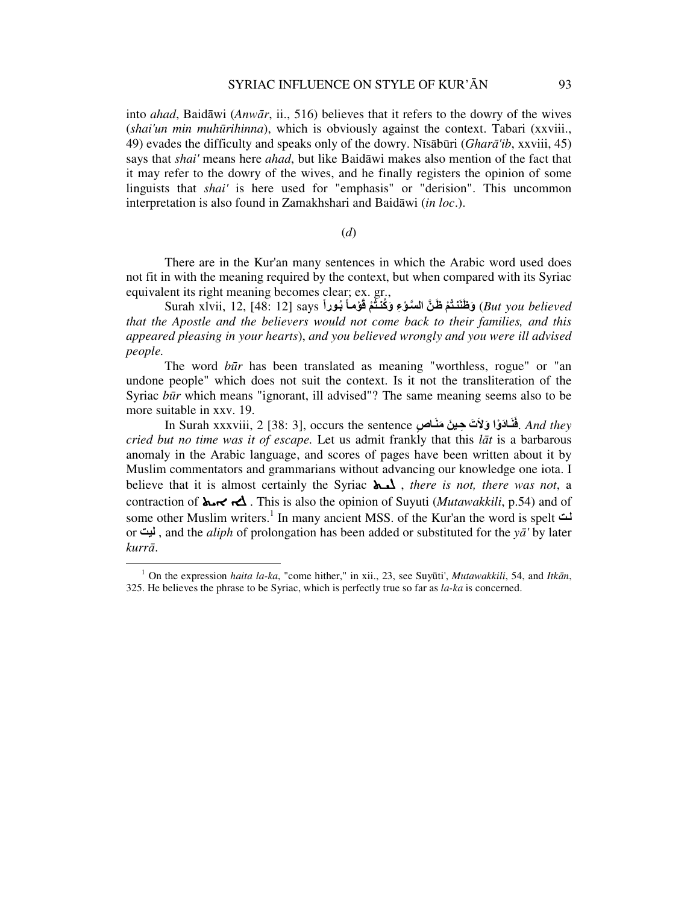into *ahad*, Baidāwi (*Anw*ā*r*, ii., 516) believes that it refers to the dowry of the wives (*shai'un min muh*ū*rihinna*), which is obviously against the context. Tabari (xxviii., 49) evades the difficulty and speaks only of the dowry. Nīsābūri (*Ghar*ā*'ib*, xxviii, 45) says that *shai'* means here *ahad*, but like Baidāwi makes also mention of the fact that it may refer to the dowry of the wives, and he finally registers the opinion of some linguists that *shai'* is here used for "emphasis" or "derision". This uncommon interpretation is also found in Zamakhshari and Baidāwi (*in loc*.).

(*d*)

There are in the Kur'an many sentences in which the Arabic word used does not fit in with the meaning required by the context, but when compared with its Syriac equivalent its right meaning becomes clear; ex. gr.,

Burah xlvii, 12, [48: 12] says **وَطُنَنَتُمْ ظَنَّ السَنَوْءِ وَكُنْتُمْ قَوْمـاً بُور**اً  $\,$  (*But you believed that the Apostle and the believers would not come back to their families, and this appeared pleasing in your hearts*), *and you believed wrongly and you were ill advised people.*

The word *b*ū*r* has been translated as meaning "worthless, rogue" or "an undone people" which does not suit the context. Is it not the transliteration of the Syriac *būr* which means "ignorant, ill advised"? The same meaning seems also to be more suitable in xxv. 19.

In Surah xxxviii, 2 [38: 3], occurs the sentence **الَّذَا وَلَاتَ حِينَ مَنَـاصِ** . *And they* ٍ *cried but no time was it of escape.* Let us admit frankly that this *l*ā*t* is a barbarous anomaly in the Arabic language, and scores of pages have been written about it by Muslim commentators and grammarians without advancing our knowledge one iota. I believe that it is almost certainly the Syriac ܠܝـܬ , *there is not, there was not*, a contraction of ܐܝܬ 0 . This is also the opinion of Suyuti (*Mutawakkili*, p.54) and of some other Muslim writers.<sup>1</sup> In many ancient MSS. of the Kur'an the word is spelt تل or ليت , and the *aliph* of prolongation has been added or substituted for the *y*ā*'* by later *kurr*ā.

<sup>1</sup> On the expression *haita la-ka*, "come hither," in xii., 23, see Suyūti', *Mutawakkili*, 54, and *Itk*ā*n*, 325. He believes the phrase to be Syriac, which is perfectly true so far as *la-ka* is concerned.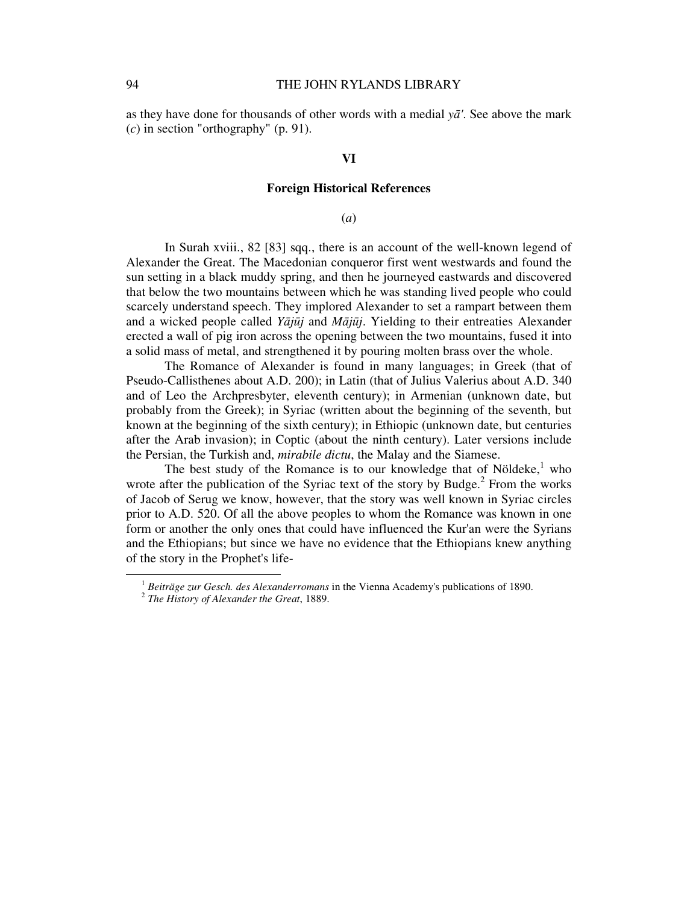as they have done for thousands of other words with a medial  $y\bar{a}$ . See above the mark (*c*) in section "orthography" (p. 91).

#### **VI**

## **Foreign Historical References**

#### (*a*)

In Surah xviii., 82 [83] sqq., there is an account of the well-known legend of Alexander the Great. The Macedonian conqueror first went westwards and found the sun setting in a black muddy spring, and then he journeyed eastwards and discovered that below the two mountains between which he was standing lived people who could scarcely understand speech. They implored Alexander to set a rampart between them and a wicked people called *Y*ā*j*ū*j* and *M*ā*j*ū*j*. Yielding to their entreaties Alexander erected a wall of pig iron across the opening between the two mountains, fused it into a solid mass of metal, and strengthened it by pouring molten brass over the whole.

The Romance of Alexander is found in many languages; in Greek (that of Pseudo-Callisthenes about A.D. 200); in Latin (that of Julius Valerius about A.D. 340 and of Leo the Archpresbyter, eleventh century); in Armenian (unknown date, but probably from the Greek); in Syriac (written about the beginning of the seventh, but known at the beginning of the sixth century); in Ethiopic (unknown date, but centuries after the Arab invasion); in Coptic (about the ninth century). Later versions include the Persian, the Turkish and, *mirabile dictu*, the Malay and the Siamese.

The best study of the Romance is to our knowledge that of Nöldeke, $<sup>1</sup>$  who</sup> wrote after the publication of the Syriac text of the story by Budge. $<sup>2</sup>$  From the works</sup> of Jacob of Serug we know, however, that the story was well known in Syriac circles prior to A.D. 520. Of all the above peoples to whom the Romance was known in one form or another the only ones that could have influenced the Kur'an were the Syrians and the Ethiopians; but since we have no evidence that the Ethiopians knew anything of the story in the Prophet's life-

<sup>1</sup> *Beiträge zur Gesch. des Alexanderromans* in the Vienna Academy's publications of 1890.

<sup>2</sup> *The History of Alexander the Great*, 1889.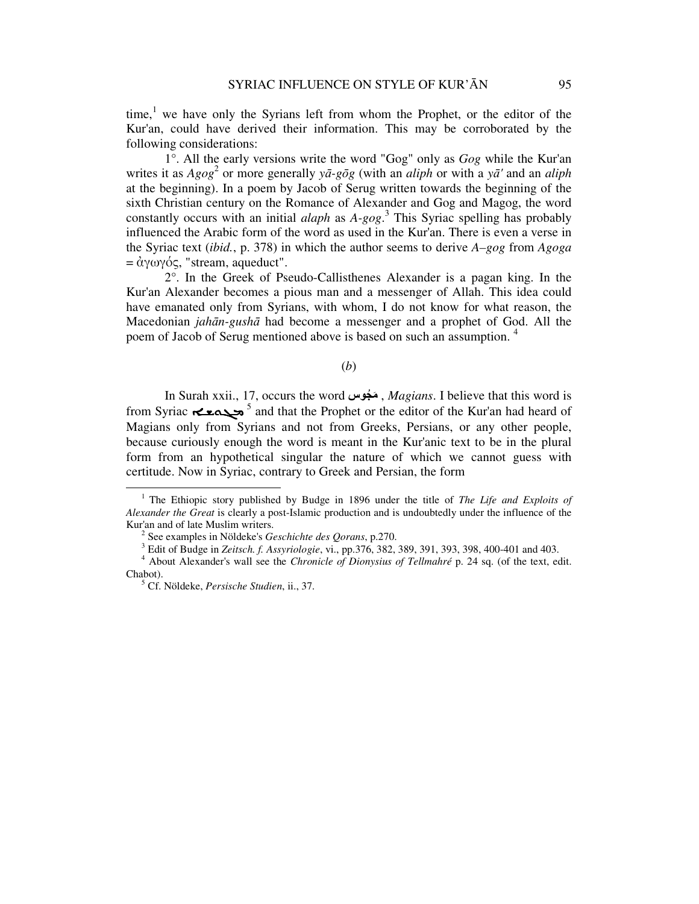time,<sup>1</sup> we have only the Syrians left from whom the Prophet, or the editor of the Kur'an, could have derived their information. This may be corroborated by the following considerations:

1°. All the early versions write the word "Gog" only as *Gog* while the Kur'an writes it as *Agog*<sup>2</sup> or more generally *y*ā*-g*ō*g* (with an *aliph* or with a *y*ā*'* and an *aliph* at the beginning). In a poem by Jacob of Serug written towards the beginning of the sixth Christian century on the Romance of Alexander and Gog and Magog, the word constantly occurs with an initial *alaph* as *A-gog*. 3 This Syriac spelling has probably influenced the Arabic form of the word as used in the Kur'an. There is even a verse in the Syriac text (*ibid.*, p. 378) in which the author seems to derive *A–gog* from *Agoga*  $= \dot{\alpha} \gamma \omega \gamma \dot{\alpha} \varsigma$ , "stream, aqueduct".

2°. In the Greek of Pseudo-Callisthenes Alexander is a pagan king. In the Kur'an Alexander becomes a pious man and a messenger of Allah. This idea could have emanated only from Syrians, with whom, I do not know for what reason, the Macedonian *jah*ā*n-gush*ā had become a messenger and a prophet of God. All the poem of Jacob of Serug mentioned above is based on such an assumption.<sup>4</sup>

# (*b*)

In Surah xxii., 17, occurs the word جوسُ مَ , *Magians*. I believe that this word is from Syriac ܡܓܘܫـܐ <sup>5</sup> and that the Prophet or the editor of the Kur'an had heard of Magians only from Syrians and not from Greeks, Persians, or any other people, because curiously enough the word is meant in the Kur'anic text to be in the plural form from an hypothetical singular the nature of which we cannot guess with certitude. Now in Syriac, contrary to Greek and Persian, the form

<sup>&</sup>lt;sup>1</sup> The Ethiopic story published by Budge in 1896 under the title of *The Life and Exploits of Alexander the Great* is clearly a post-Islamic production and is undoubtedly under the influence of the Kur'an and of late Muslim writers.

<sup>2</sup> See examples in Nöldeke's *Geschichte des Qorans*, p.270.

<sup>3</sup> Edit of Budge in *Zeitsch. f. Assyriologie*, vi., pp.376, 382, 389, 391, 393, 398, 400-401 and 403.

<sup>4</sup> About Alexander's wall see the *Chronicle of Dionysius of Tellmahré* p. 24 sq. (of the text, edit. Chabot).

<sup>5</sup> Cf. Nöldeke, *Persische Studien*, ii., 37.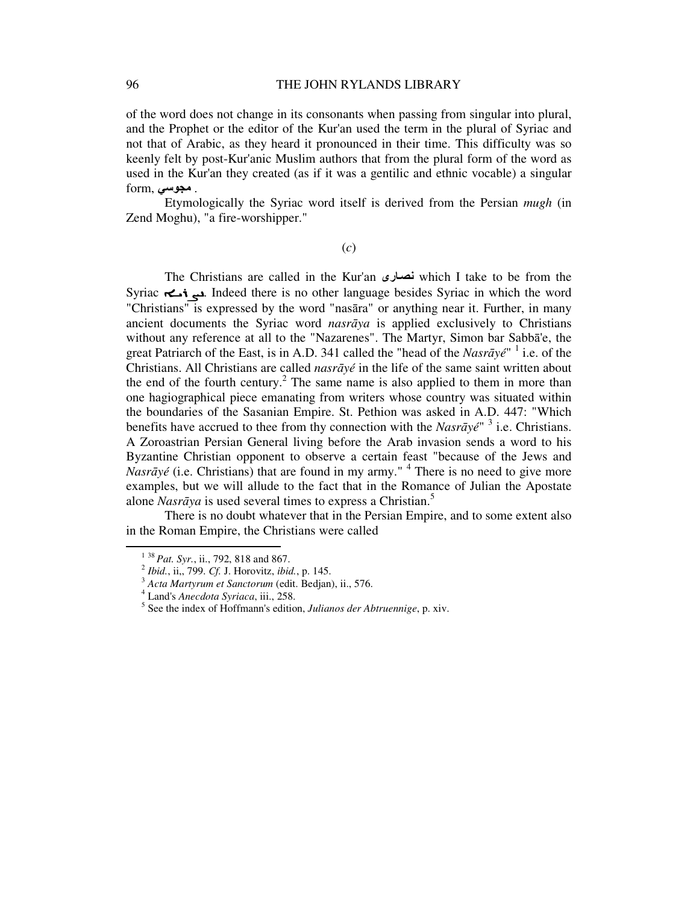of the word does not change in its consonants when passing from singular into plural, and the Prophet or the editor of the Kur'an used the term in the plural of Syriac and not that of Arabic, as they heard it pronounced in their time. This difficulty was so keenly felt by post-Kur'anic Muslim authors that from the plural form of the word as used in the Kur'an they created (as if it was a gentilic and ethnic vocable) a singular form, مجوسی

Etymologically the Syriac word itself is derived from the Persian *mugh* (in Zend Moghu), "a fire-worshipper."

(*c*)

The Christians are called in the Kur'an ارىنص which I take to be from the Syriac ܢܨܪܝـܐ. Indeed there is no other language besides Syriac in which the word "Christians" is expressed by the word "nasāra" or anything near it. Further, in many ancient documents the Syriac word *nasr*ā*ya* is applied exclusively to Christians without any reference at all to the "Nazarenes". The Martyr, Simon bar Sabbā'e, the great Patriarch of the East, is in A.D. 341 called the "head of the *Nasrāyé*" <sup>1</sup> i.e. of the Christians. All Christians are called *nasr*ā*yé* in the life of the same saint written about the end of the fourth century.<sup>2</sup> The same name is also applied to them in more than one hagiographical piece emanating from writers whose country was situated within the boundaries of the Sasanian Empire. St. Pethion was asked in A.D. 447: "Which benefits have accrued to thee from thy connection with the *Nasrāyé*<sup>" 3</sup> i.e. Christians. A Zoroastrian Persian General living before the Arab invasion sends a word to his Byzantine Christian opponent to observe a certain feast "because of the Jews and *Nasrāyé* (i.e. Christians) that are found in my army."<sup>4</sup> There is no need to give more examples, but we will allude to the fact that in the Romance of Julian the Apostate alone *Nasrāya* is used several times to express a Christian.<sup>5</sup>

There is no doubt whatever that in the Persian Empire, and to some extent also in the Roman Empire, the Christians were called

<sup>1</sup> <sup>38</sup>*Pat. Syr.*, ii., 792, 818 and 867.

<sup>2</sup> *Ibid.*, ii,, 799. *Cf.* J. Horovitz, *ibid.*, p. 145.

<sup>3</sup> *Acta Martyrum et Sanctorum* (edit. Bedjan), ii., 576.

<sup>4</sup> Land's *Anecdota Syriaca*, iii., 258.

<sup>5</sup> See the index of Hoffmann's edition, *Julianos der Abtruennige*, p. xiv.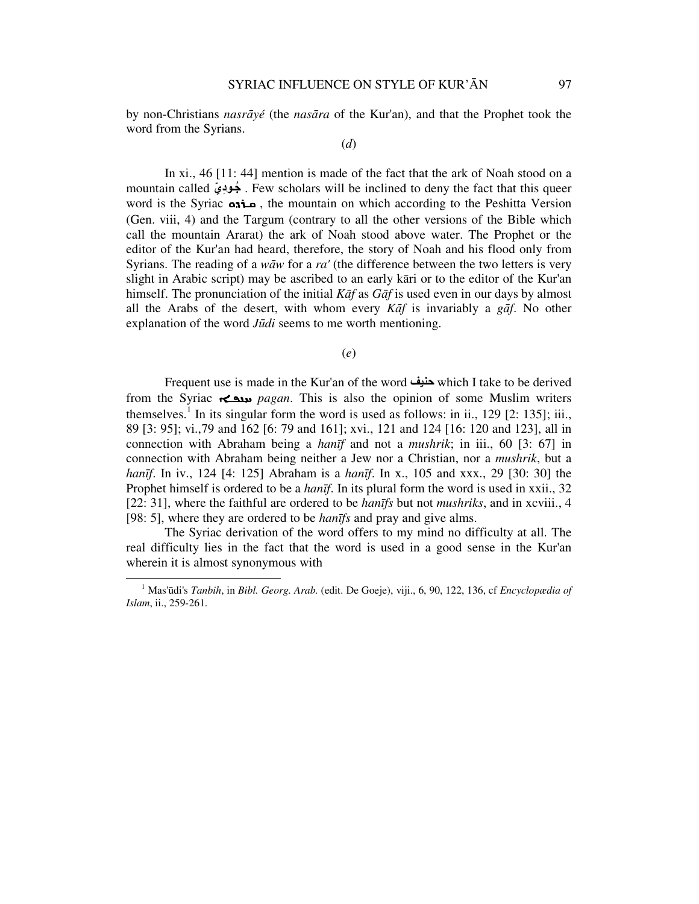by non-Christians *nasr*ā*yé* (the *nas*ā*ra* of the Kur'an), and that the Prophet took the word from the Syrians.

#### (*d*)

In xi., 46 [11: 44] mention is made of the fact that the ark of Noah stood on a mountain called جُودِيّ . Few scholars will be inclined to deny the fact that this queer word is the Syriac ܩـܪܕܘ , the mountain on which according to the Peshitta Version (Gen. viii, 4) and the Targum (contrary to all the other versions of the Bible which call the mountain Ararat) the ark of Noah stood above water. The Prophet or the editor of the Kur'an had heard, therefore, the story of Noah and his flood only from Syrians. The reading of a *w*ā*w* for a *ra'* (the difference between the two letters is very slight in Arabic script) may be ascribed to an early kāri or to the editor of the Kur'an himself. The pronunciation of the initial *K*ā*f* as *G*ā*f* is used even in our days by almost all the Arabs of the desert, with whom every *K*ā*f* is invariably a *g*ā*f*. No other explanation of the word *J*ū*di* seems to me worth mentioning.

#### (*e*)

Frequent use is made in the Kur'an of the word حنيف which I take to be derived from the Syriac ܚܢܦـܐ *pagan*. This is also the opinion of some Muslim writers themselves.<sup>1</sup> In its singular form the word is used as follows: in ii., 129 [2: 135]; iii., 89 [3: 95]; vi.,79 and 162 [6: 79 and 161]; xvi., 121 and 124 [16: 120 and 123], all in connection with Abraham being a *han*ī*f* and not a *mushrik*; in iii., 60 [3: 67] in connection with Abraham being neither a Jew nor a Christian, nor a *mushrik*, but a *han*ī*f*. In iv., 124 [4: 125] Abraham is a *han*ī*f*. In x., 105 and xxx., 29 [30: 30] the Prophet himself is ordered to be a *han*ī*f*. In its plural form the word is used in xxii., 32 [22: 31], where the faithful are ordered to be *han*ī*fs* but not *mushriks*, and in xcviii., 4 [98: 5], where they are ordered to be *han*ī*fs* and pray and give alms.

The Syriac derivation of the word offers to my mind no difficulty at all. The real difficulty lies in the fact that the word is used in a good sense in the Kur'an wherein it is almost synonymous with

<sup>1</sup> Mas'ūdi's *Tanbih*, in *Bibl. Georg. Arab.* (edit. De Goeje), viji., 6, 90, 122, 136, cf *Encyclopædia of Islam*, ii., 259-261.